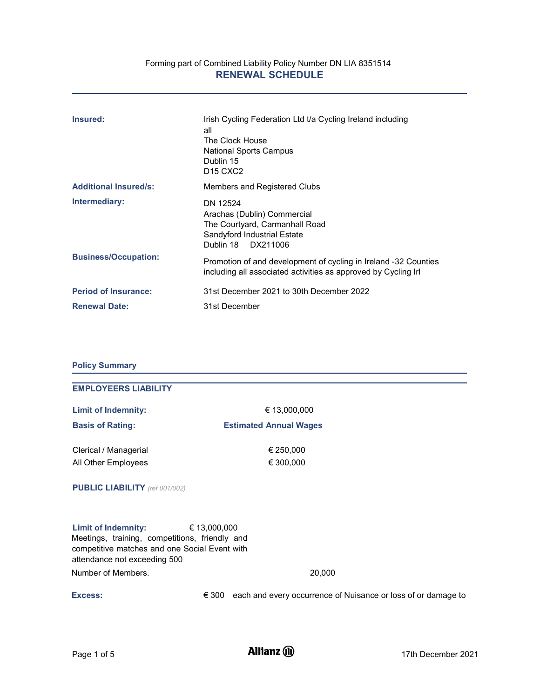# Forming part of Combined Liability Policy Number DN LIA 8351514 RENEWAL SCHEDULE

| Insured:                     | Irish Cycling Federation Ltd t/a Cycling Ireland including<br>all<br>The Clock House<br>National Sports Campus<br>Dublin 15<br>D <sub>15</sub> C <sub>X</sub> C <sub>2</sub> |
|------------------------------|------------------------------------------------------------------------------------------------------------------------------------------------------------------------------|
| <b>Additional Insured/s:</b> | Members and Registered Clubs                                                                                                                                                 |
| Intermediary:                | DN 12524<br>Arachas (Dublin) Commercial<br>The Courtyard, Carmanhall Road<br>Sandyford Industrial Estate<br>Dublin 18 DX211006                                               |
| <b>Business/Occupation:</b>  | Promotion of and development of cycling in Ireland -32 Counties<br>including all associated activities as approved by Cycling Irl                                            |
| <b>Period of Insurance:</b>  | 31st December 2021 to 30th December 2022                                                                                                                                     |
| <b>Renewal Date:</b>         | 31st December                                                                                                                                                                |

# Policy Summary

| <b>EMPLOYEERS LIABILITY</b>                                                                                                                                   |                       |                                                                              |
|---------------------------------------------------------------------------------------------------------------------------------------------------------------|-----------------------|------------------------------------------------------------------------------|
| <b>Limit of Indemnity:</b>                                                                                                                                    |                       | € 13,000,000                                                                 |
| <b>Basis of Rating:</b>                                                                                                                                       |                       | <b>Estimated Annual Wages</b>                                                |
| Clerical / Managerial                                                                                                                                         |                       | € 250,000                                                                    |
| All Other Employees                                                                                                                                           |                       | € 300,000                                                                    |
| <b>PUBLIC LIABILITY</b> (ref 001/002)                                                                                                                         |                       |                                                                              |
| <b>Limit of Indemnity:</b><br>Meetings, training, competitions, friendly and<br>competitive matches and one Social Event with<br>attendance not exceeding 500 | $\epsilon$ 13,000,000 |                                                                              |
| Number of Members.                                                                                                                                            |                       | 20,000                                                                       |
| <b>Excess:</b>                                                                                                                                                |                       | $\epsilon$ 300 each and every occurrence of Nuisance or loss of or damage to |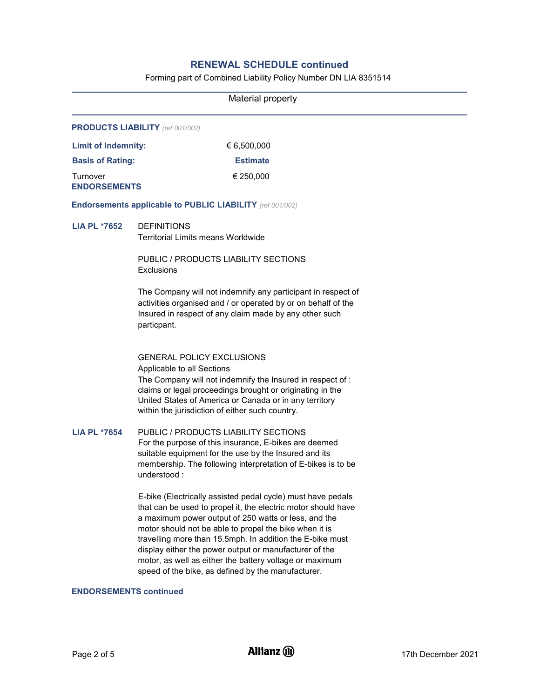# RENEWAL SCHEDULE continued

Forming part of Combined Liability Policy Number DN LIA 8351514

|                                 | Material property                                                                                                                                                                                                                                                                                                                                                                                                                                                                      |  |  |
|---------------------------------|----------------------------------------------------------------------------------------------------------------------------------------------------------------------------------------------------------------------------------------------------------------------------------------------------------------------------------------------------------------------------------------------------------------------------------------------------------------------------------------|--|--|
|                                 | <b>PRODUCTS LIABILITY</b> (ref 001/002)                                                                                                                                                                                                                                                                                                                                                                                                                                                |  |  |
| <b>Limit of Indemnity:</b>      | € 6,500,000                                                                                                                                                                                                                                                                                                                                                                                                                                                                            |  |  |
| <b>Basis of Rating:</b>         | <b>Estimate</b>                                                                                                                                                                                                                                                                                                                                                                                                                                                                        |  |  |
| Turnover<br><b>ENDORSEMENTS</b> | € 250,000                                                                                                                                                                                                                                                                                                                                                                                                                                                                              |  |  |
|                                 | <b>Endorsements applicable to PUBLIC LIABILITY</b> (ref 001/002)                                                                                                                                                                                                                                                                                                                                                                                                                       |  |  |
| <b>LIA PL *7652</b>             | <b>DEFINITIONS</b><br><b>Territorial Limits means Worldwide</b>                                                                                                                                                                                                                                                                                                                                                                                                                        |  |  |
|                                 | PUBLIC / PRODUCTS LIABILITY SECTIONS<br>Exclusions                                                                                                                                                                                                                                                                                                                                                                                                                                     |  |  |
|                                 | The Company will not indemnify any participant in respect of<br>activities organised and / or operated by or on behalf of the<br>Insured in respect of any claim made by any other such<br>particpant.                                                                                                                                                                                                                                                                                 |  |  |
|                                 | <b>GENERAL POLICY EXCLUSIONS</b><br>Applicable to all Sections<br>The Company will not indemnify the Insured in respect of:<br>claims or legal proceedings brought or originating in the<br>United States of America or Canada or in any territory<br>within the jurisdiction of either such country.                                                                                                                                                                                  |  |  |
| <b>LIA PL *7654</b>             | PUBLIC / PRODUCTS LIABILITY SECTIONS<br>For the purpose of this insurance, E-bikes are deemed<br>suitable equipment for the use by the Insured and its<br>membership. The following interpretation of E-bikes is to be<br>understood:                                                                                                                                                                                                                                                  |  |  |
|                                 | E-bike (Electrically assisted pedal cycle) must have pedals<br>that can be used to propel it, the electric motor should have<br>a maximum power output of 250 watts or less, and the<br>motor should not be able to propel the bike when it is<br>travelling more than 15.5mph. In addition the E-bike must<br>display either the power output or manufacturer of the<br>motor, as well as either the battery voltage or maximum<br>speed of the bike, as defined by the manufacturer. |  |  |
| <b>ENDORSEMENTS continued</b>   |                                                                                                                                                                                                                                                                                                                                                                                                                                                                                        |  |  |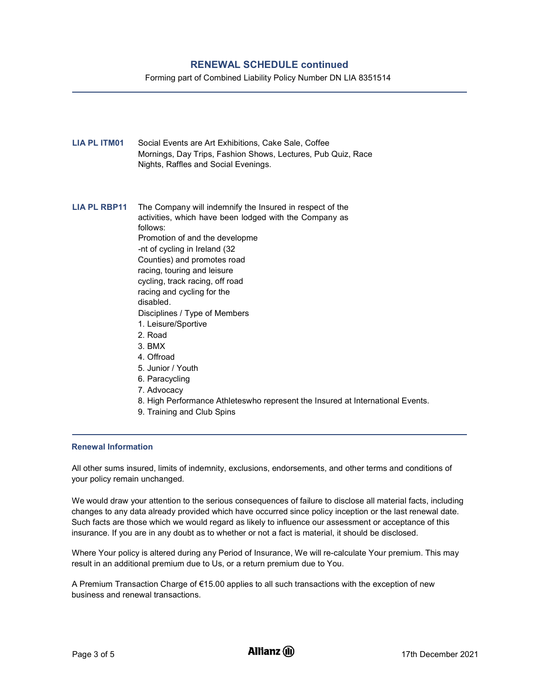# RENEWAL SCHEDULE continued

Forming part of Combined Liability Policy Number DN LIA 8351514

- LIA PL ITM01 Social Events are Art Exhibitions, Cake Sale, Coffee Mornings, Day Trips, Fashion Shows, Lectures, Pub Quiz, Race Nights, Raffles and Social Evenings. LIA PL RBP11 The Company will indemnify the Insured in respect of the activities, which have been lodged with the Company as follows: Promotion of and the developme -nt of cycling in Ireland (32 Counties) and promotes road racing, touring and leisure cycling, track racing, off road racing and cycling for the disabled. Disciplines / Type of Members 1. Leisure/Sportive 2. Road 3. BMX 4. Offroad 5. Junior / Youth 6. Paracycling 7. Advocacy 8. High Performance Athleteswho represent the Insured at International Events.
	- 9. Training and Club Spins

# Renewal Information

All other sums insured, limits of indemnity, exclusions, endorsements, and other terms and conditions of your policy remain unchanged.

We would draw your attention to the serious consequences of failure to disclose all material facts, including changes to any data already provided which have occurred since policy inception or the last renewal date. Such facts are those which we would regard as likely to influence our assessment or acceptance of this insurance. If you are in any doubt as to whether or not a fact is material, it should be disclosed.

Where Your policy is altered during any Period of Insurance, We will re-calculate Your premium. This may result in an additional premium due to Us, or a return premium due to You.

A Premium Transaction Charge of €15.00 applies to all such transactions with the exception of new business and renewal transactions.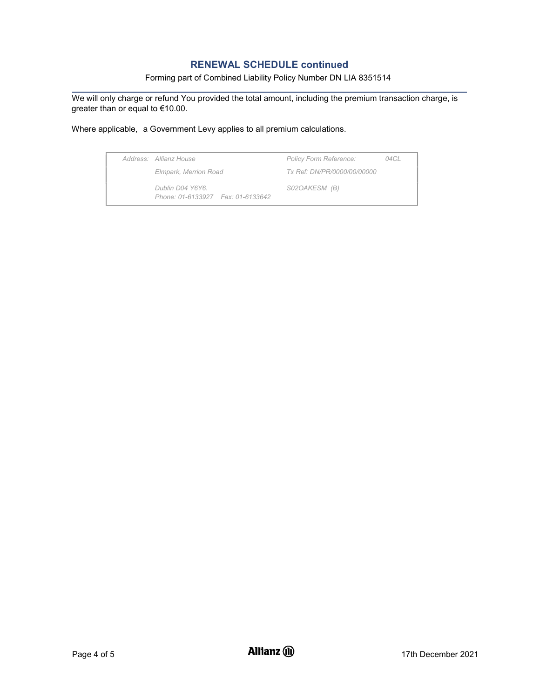# RENEWAL SCHEDULE continued

# Forming part of Combined Liability Policy Number DN LIA 8351514

We will only charge or refund You provided the total amount, including the premium transaction charge, is greater than or equal to €10.00.

Where applicable, a Government Levy applies to all premium calculations.

| Address: Allianz House                                   | <b>Policy Form Reference:</b>      | 04 C L |
|----------------------------------------------------------|------------------------------------|--------|
| Elmpark, Merrion Road                                    | <i>Tx Ref: DN/PR/0000/00/00000</i> |        |
| Dublin D04 Y6Y6.<br>Phone: 01-6133927    Fax: 01-6133642 | S02OAKESM (B)                      |        |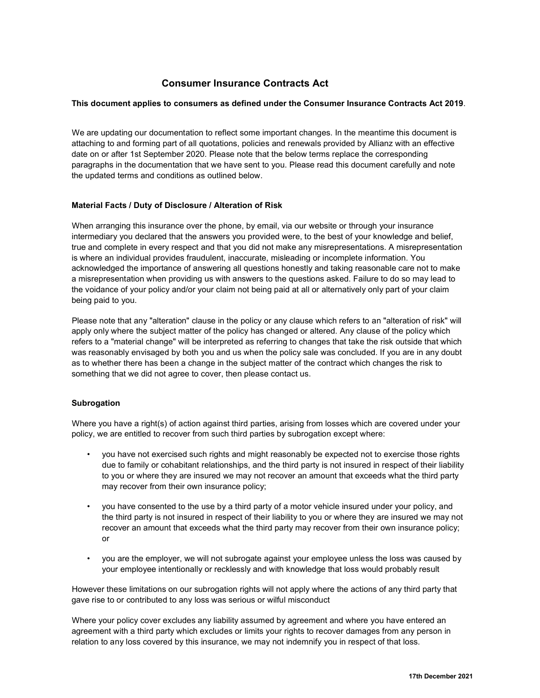# Consumer Insurance Contracts Act

# This document applies to consumers as defined under the Consumer Insurance Contracts Act 2019.

We are updating our documentation to reflect some important changes. In the meantime this document is attaching to and forming part of all quotations, policies and renewals provided by Allianz with an effective date on or after 1st September 2020. Please note that the below terms replace the corresponding paragraphs in the documentation that we have sent to you. Please read this document carefully and note the updated terms and conditions as outlined below.

# Material Facts / Duty of Disclosure / Alteration of Risk

When arranging this insurance over the phone, by email, via our website or through your insurance intermediary you declared that the answers you provided were, to the best of your knowledge and belief, true and complete in every respect and that you did not make any misrepresentations. A misrepresentation is where an individual provides fraudulent, inaccurate, misleading or incomplete information. You acknowledged the importance of answering all questions honestly and taking reasonable care not to make a misrepresentation when providing us with answers to the questions asked. Failure to do so may lead to the voidance of your policy and/or your claim not being paid at all or alternatively only part of your claim being paid to you.

Please note that any "alteration" clause in the policy or any clause which refers to an "alteration of risk" will apply only where the subject matter of the policy has changed or altered. Any clause of the policy which refers to a "material change" will be interpreted as referring to changes that take the risk outside that which was reasonably envisaged by both you and us when the policy sale was concluded. If you are in any doubt as to whether there has been a change in the subject matter of the contract which changes the risk to something that we did not agree to cover, then please contact us.

# **Subrogation**

Where you have a right(s) of action against third parties, arising from losses which are covered under your policy, we are entitled to recover from such third parties by subrogation except where:

- you have not exercised such rights and might reasonably be expected not to exercise those rights due to family or cohabitant relationships, and the third party is not insured in respect of their liability to you or where they are insured we may not recover an amount that exceeds what the third party may recover from their own insurance policy;
- you have consented to the use by a third party of a motor vehicle insured under your policy, and the third party is not insured in respect of their liability to you or where they are insured we may not recover an amount that exceeds what the third party may recover from their own insurance policy; or
- you are the employer, we will not subrogate against your employee unless the loss was caused by your employee intentionally or recklessly and with knowledge that loss would probably result

However these limitations on our subrogation rights will not apply where the actions of any third party that gave rise to or contributed to any loss was serious or wilful misconduct

Where your policy cover excludes any liability assumed by agreement and where you have entered an agreement with a third party which excludes or limits your rights to recover damages from any person in relation to any loss covered by this insurance, we may not indemnify you in respect of that loss.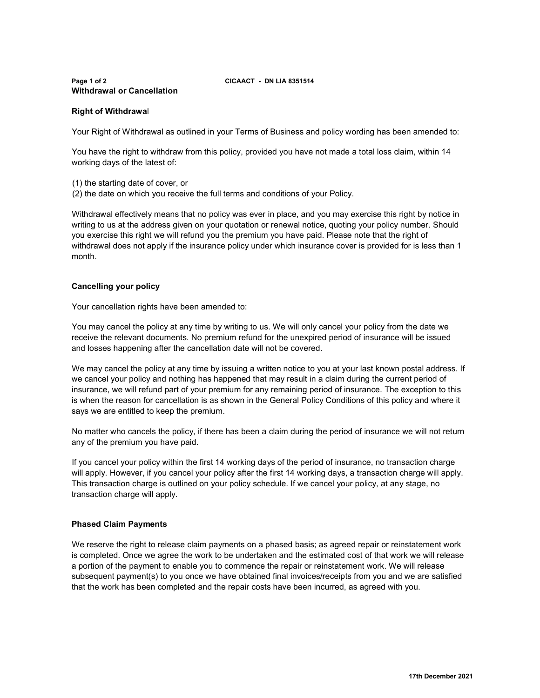## Page 1 of 2 CICAACT - DN LIA 8351514 Withdrawal or Cancellation

# Right of Withdrawal

Your Right of Withdrawal as outlined in your Terms of Business and policy wording has been amended to:

You have the right to withdraw from this policy, provided you have not made a total loss claim, within 14 working days of the latest of:

- (1) the starting date of cover, or
- (2) the date on which you receive the full terms and conditions of your Policy.

Withdrawal effectively means that no policy was ever in place, and you may exercise this right by notice in writing to us at the address given on your quotation or renewal notice, quoting your policy number. Should you exercise this right we will refund you the premium you have paid. Please note that the right of withdrawal does not apply if the insurance policy under which insurance cover is provided for is less than 1 month.

# Cancelling your policy

Your cancellation rights have been amended to:

You may cancel the policy at any time by writing to us. We will only cancel your policy from the date we receive the relevant documents. No premium refund for the unexpired period of insurance will be issued and losses happening after the cancellation date will not be covered.

We may cancel the policy at any time by issuing a written notice to you at your last known postal address. If we cancel your policy and nothing has happened that may result in a claim during the current period of insurance, we will refund part of your premium for any remaining period of insurance. The exception to this is when the reason for cancellation is as shown in the General Policy Conditions of this policy and where it says we are entitled to keep the premium.

No matter who cancels the policy, if there has been a claim during the period of insurance we will not return any of the premium you have paid.

If you cancel your policy within the first 14 working days of the period of insurance, no transaction charge will apply. However, if you cancel your policy after the first 14 working days, a transaction charge will apply. This transaction charge is outlined on your policy schedule. If we cancel your policy, at any stage, no transaction charge will apply.

# Phased Claim Payments

We reserve the right to release claim payments on a phased basis; as agreed repair or reinstatement work is completed. Once we agree the work to be undertaken and the estimated cost of that work we will release a portion of the payment to enable you to commence the repair or reinstatement work. We will release subsequent payment(s) to you once we have obtained final invoices/receipts from you and we are satisfied that the work has been completed and the repair costs have been incurred, as agreed with you.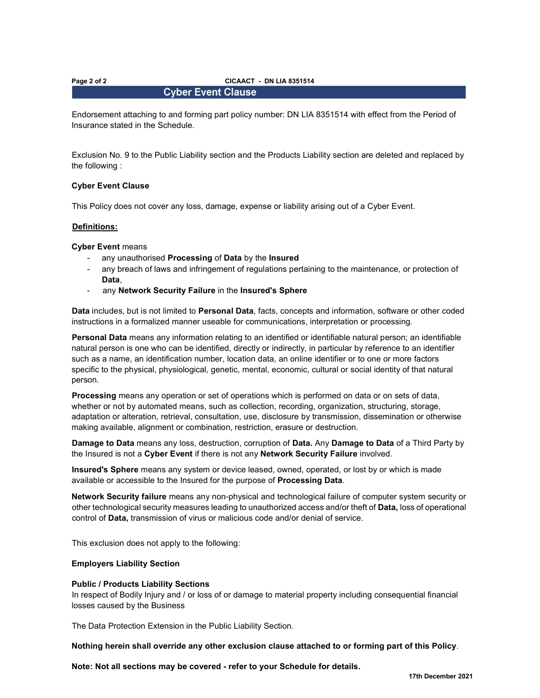### Page 2 of 2 CICAACT - DN LIA 8351514

# **Cyber Event Clause**

Endorsement attaching to and forming part policy number: DN LIA 8351514 with effect from the Period of Insurance stated in the Schedule.

Exclusion No. 9 to the Public Liability section and the Products Liability section are deleted and replaced by the following :

### Cyber Event Clause

This Policy does not cover any loss, damage, expense or liability arising out of a Cyber Event.

### Definitions:

Cyber Event means

- any unauthorised Processing of Data by the Insured
- any breach of laws and infringement of regulations pertaining to the maintenance, or protection of Data,
- any Network Security Failure in the Insured's Sphere

Data includes, but is not limited to Personal Data, facts, concepts and information, software or other coded instructions in a formalized manner useable for communications, interpretation or processing.

Personal Data means any information relating to an identified or identifiable natural person; an identifiable natural person is one who can be identified, directly or indirectly, in particular by reference to an identifier such as a name, an identification number, location data, an online identifier or to one or more factors specific to the physical, physiological, genetic, mental, economic, cultural or social identity of that natural person.

Processing means any operation or set of operations which is performed on data or on sets of data, whether or not by automated means, such as collection, recording, organization, structuring, storage, adaptation or alteration, retrieval, consultation, use, disclosure by transmission, dissemination or otherwise making available, alignment or combination, restriction, erasure or destruction.

Damage to Data means any loss, destruction, corruption of Data. Any Damage to Data of a Third Party by the Insured is not a Cyber Event if there is not any Network Security Failure involved.

Insured's Sphere means any system or device leased, owned, operated, or lost by or which is made available or accessible to the Insured for the purpose of Processing Data.

Network Security failure means any non-physical and technological failure of computer system security or other technological security measures leading to unauthorized access and/or theft of Data, loss of operational control of Data, transmission of virus or malicious code and/or denial of service.

This exclusion does not apply to the following:

### Employers Liability Section

### Public / Products Liability Sections

In respect of Bodily Injury and / or loss of or damage to material property including consequential financial losses caused by the Business

The Data Protection Extension in the Public Liability Section.

Nothing herein shall override any other exclusion clause attached to or forming part of this Policy.

Note: Not all sections may be covered - refer to your Schedule for details.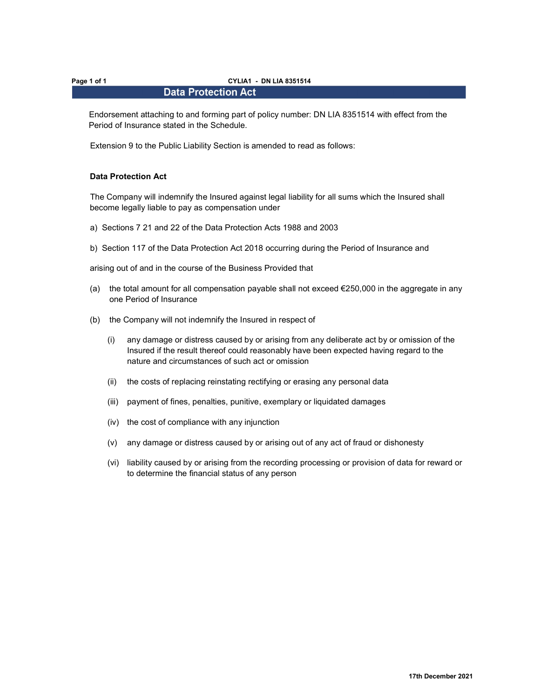### Page 1 of 1 CYLIA1 - DN LIA 8351514

# **Data Protection Act**

Endorsement attaching to and forming part of policy number: DN LIA 8351514 with effect from the Period of Insurance stated in the Schedule.

Extension 9 to the Public Liability Section is amended to read as follows:

### Data Protection Act

The Company will indemnify the Insured against legal liability for all sums which the Insured shall become legally liable to pay as compensation under

- a) Sections 7 21 and 22 of the Data Protection Acts 1988 and 2003
- b) Section 117 of the Data Protection Act 2018 occurring during the Period of Insurance and

arising out of and in the course of the Business Provided that

- (a) the total amount for all compensation payable shall not exceed  $€250,000$  in the aggregate in any one Period of Insurance
- (b) the Company will not indemnify the Insured in respect of
	- (i) any damage or distress caused by or arising from any deliberate act by or omission of the Insured if the result thereof could reasonably have been expected having regard to the nature and circumstances of such act or omission
	- (ii) the costs of replacing reinstating rectifying or erasing any personal data
	- (iii) payment of fines, penalties, punitive, exemplary or liquidated damages
	- (iv) the cost of compliance with any injunction
	- (v) any damage or distress caused by or arising out of any act of fraud or dishonesty
	- (vi) liability caused by or arising from the recording processing or provision of data for reward or to determine the financial status of any person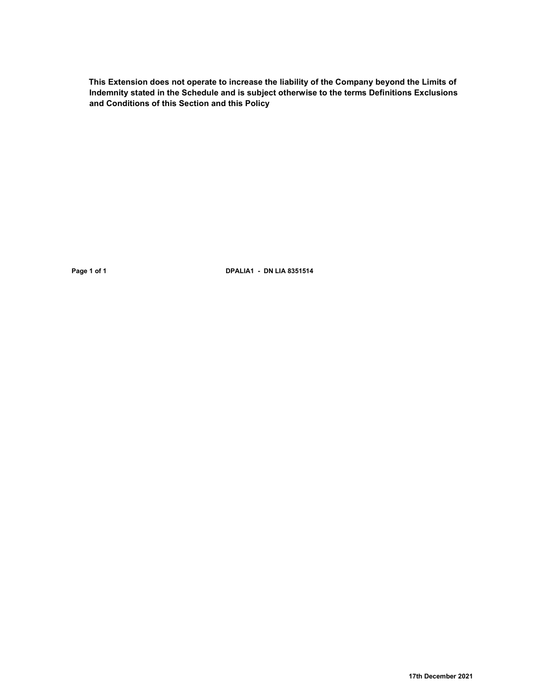This Extension does not operate to increase the liability of the Company beyond the Limits of Indemnity stated in the Schedule and is subject otherwise to the terms Definitions Exclusions and Conditions of this Section and this Policy

Page 1 of 1 **DPALIA1** - DN LIA 8351514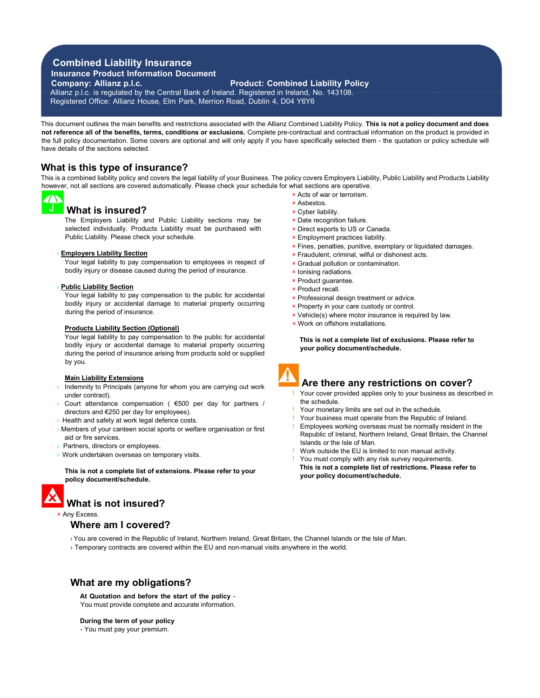# Combined Liability Insurance

Insurance Product Information Document

Company: Allianz p.l.c. Product: Combined Liability Policy

Allianz p.l.c. is regulated by the Central Bank of Ireland. Registered in Ireland, No. 143108. Registered Office: Allianz House, Elm Park, Merrion Road, Dublin 4, D04 Y6Y6

This document outlines the main benefits and restrictions associated with the Allianz Combined Liability Policy. This is not a policy document and does not reference all of the benefits, terms, conditions or exclusions. Complete pre-contractual and contractual information on the product is provided in the full policy documentation. Some covers are optional and will only apply if you have specifically selected them - the quotation or policy schedule will have details of the sections selected.

# What is this type of insurance?

This is a combined liability policy and covers the legal liability of your Business. The policy covers Employers Liability, Public Liability and Products Liability however, not all sections are covered automatically. Please check your schedule for what sections are operative.

# What is insured?

The Employers Liability and Public Liability sections may be selected individually. Products Liability must be purchased with Public Liability. Please check your schedule.

### › Employers Liability Section

Your legal liability to pay compensation to employees in respect of bodily injury or disease caused during the period of insurance.

### › Public Liability Section

Your legal liability to pay compensation to the public for accidental bodily injury or accidental damage to material property occurring during the period of insurance.

### Products Liability Section (Optional)

Your legal liability to pay compensation to the public for accidental bodily injury or accidental damage to material property occurring during the period of insurance arising from products sold or supplied by you.

### Main Liability Extensions

- Indemnity to Principals (anyone for whom you are carrying out work under contract).
- › Court attendance compensation ( €500 per day for partners / directors and €250 per day for employees).
- **> Health and safety at work legal defence costs.**
- › Members of your canteen social sports or welfare organisation or first aid or fire services.
- Partners, directors or employees.
- › Work undertaken overseas on temporary visits.

This is not a complete list of extensions. Please refer to your policy document/schedule.



# × Any Excess.

# Where am I covered?

- › You are covered in the Republic of Ireland, Northern Ireland, Great Britain, the Channel Islands or the Isle of Man.
- › Temporary contracts are covered within the EU and non-manual visits anywhere in the world.

# What are my obligations?

At Quotation and before the start of the policy - You must provide complete and accurate information.

During the term of your policy

- You must pay your premium.

- × Acts of war or terrorism.
- × Asbestos.
- × Cyber liability.
- × Date recognition failure.
- × Direct exports to US or Canada.
- × Employment practices liability.
- × Fines, penalties, punitive, exemplary or liquidated damages.
- × Fraudulent, criminal, wilful or dishonest acts.
- × Gradual pollution or contamination.
- × Ionising radiations.
- × Product guarantee.
- × Product recall.
- × Professional design treatment or advice.
- × Property in your care custody or control.
- × Vehicle(s) where motor insurance is required by law.
- × Work on offshore installations.

This is not a complete list of exclusions. Please refer to your policy document/schedule.



# Are there any restrictions on cover?

- Your cover provided applies only to your business as described in the schedule.
- Your monetary limits are set out in the schedule.
- Your business must operate from the Republic of Ireland.
- Employees working overseas must be normally resident in the Republic of Ireland, Northern Ireland, Great Britain, the Channel Islands or the Isle of Man.
- Work outside the EU is limited to non manual activity.
- You must comply with any risk survey requirements.
- This is not a complete list of restrictions. Please refer to your policy document/schedule.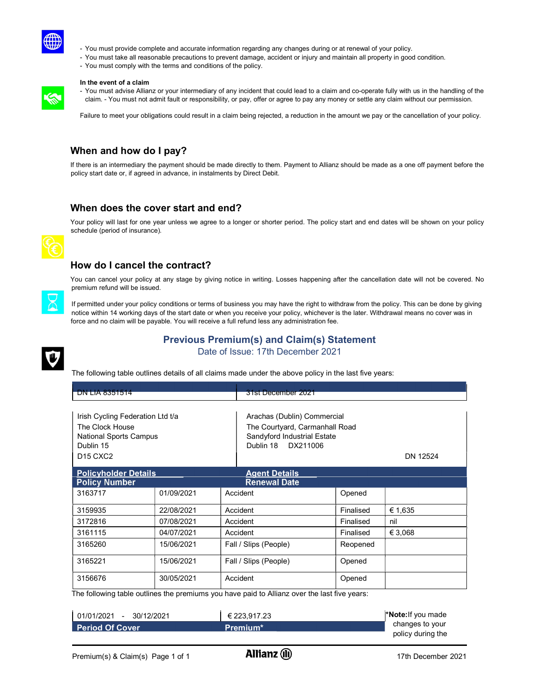

- You must provide complete and accurate information regarding any changes during or at renewal of your policy.
- You must take all reasonable precautions to prevent damage, accident or injury and maintain all property in good condition.
- You must comply with the terms and conditions of the policy.

### In the event of a claim

- You must advise Allianz or your intermediary of any incident that could lead to a claim and co-operate fully with us in the handling of the claim. - You must not admit fault or responsibility, or pay, offer or agree to pay any money or settle any claim without our permission.

Failure to meet your obligations could result in a claim being rejected, a reduction in the amount we pay or the cancellation of your policy.

# When and how do I pay?

If there is an intermediary the payment should be made directly to them. Payment to Allianz should be made as a one off payment before the policy start date or, if agreed in advance, in instalments by Direct Debit.

# When does the cover start and end?

Your policy will last for one year unless we agree to a longer or shorter period. The policy start and end dates will be shown on your policy schedule (period of insurance).



# How do I cancel the contract?

You can cancel your policy at any stage by giving notice in writing. Losses happening after the cancellation date will not be covered. No premium refund will be issued.



If permitted under your policy conditions or terms of business you may have the right to withdraw from the policy. This can be done by giving notice within 14 working days of the start date or when you receive your policy, whichever is the later. Withdrawal means no cover was in force and no claim will be payable. You will receive a full refund less any administration fee.



Previous Premium(s) and Claim(s) Statement Date of Issue: 17th December 2021

The following table outlines details of all claims made under the above policy in the last five years:

| <b>DN LIA 8351514</b>                                                                                                                                    |            |          | 31st December 2021                                                                                                 |           |          |
|----------------------------------------------------------------------------------------------------------------------------------------------------------|------------|----------|--------------------------------------------------------------------------------------------------------------------|-----------|----------|
| Irish Cycling Federation Ltd t/a<br>The Clock House<br><b>National Sports Campus</b><br>Dublin 15<br><b>D<sub>15</sub></b> C <sub>X</sub> C <sub>2</sub> |            |          | Arachas (Dublin) Commercial<br>The Courtyard, Carmanhall Road<br>Sandyford Industrial Estate<br>Dublin 18 DX211006 |           | DN 12524 |
| <b>Policyholder Details</b>                                                                                                                              |            |          | Agent Details                                                                                                      |           |          |
| <b>Policy Number</b><br><b>Renewal Date</b>                                                                                                              |            |          |                                                                                                                    |           |          |
| 3163717                                                                                                                                                  | 01/09/2021 |          | Accident                                                                                                           | Opened    |          |
| 3159935                                                                                                                                                  | 22/08/2021 |          | Accident                                                                                                           | Finalised | € 1,635  |
| 3172816                                                                                                                                                  | 07/08/2021 |          | Accident                                                                                                           | Finalised | nil      |
| 3161115                                                                                                                                                  | 04/07/2021 | Accident |                                                                                                                    | Finalised | € 3,068  |
| 3165260                                                                                                                                                  | 15/06/2021 |          | Fall / Slips (People)                                                                                              | Reopened  |          |
| 3165221                                                                                                                                                  | 15/06/2021 |          | Fall / Slips (People)                                                                                              | Opened    |          |
| 3156676                                                                                                                                                  | 30/05/2021 |          | Accident                                                                                                           | Opened    |          |

The following table outlines the premiums you have paid to Allianz over the last five years:

| 30/12/2021<br>$01/01/2021 -$ | € 223.917.23         | <b>Note:</b> If you made |
|------------------------------|----------------------|--------------------------|
| l Period Of Cover            | Premium <sup>*</sup> | changes to your          |
|                              |                      | policy during the        |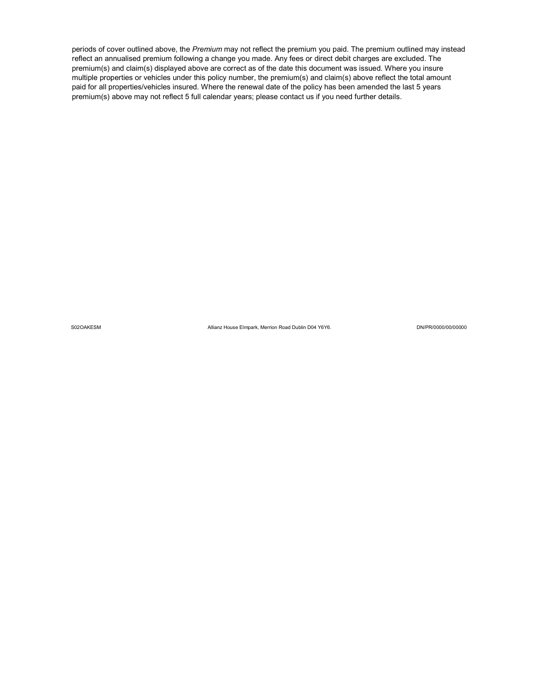periods of cover outlined above, the Premium may not reflect the premium you paid. The premium outlined may instead reflect an annualised premium following a change you made. Any fees or direct debit charges are excluded. The premium(s) and claim(s) displayed above are correct as of the date this document was issued. Where you insure multiple properties or vehicles under this policy number, the premium(s) and claim(s) above reflect the total amount paid for all properties/vehicles insured. Where the renewal date of the policy has been amended the last 5 years premium(s) above may not reflect 5 full calendar years; please contact us if you need further details.

S02OAKESM Allianz House Elmpark, Merrion Road Dublin D04 Y6Y6. DN/PR/0000/00/00000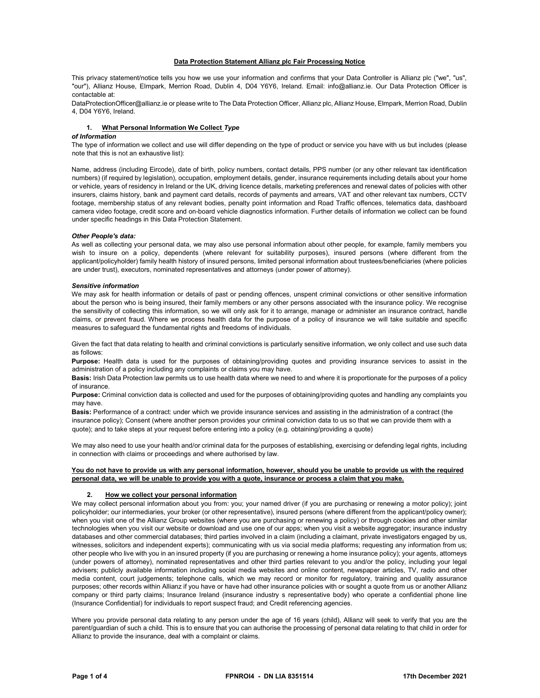### Data Protection Statement Allianz plc Fair Processing Notice

This privacy statement/notice tells you how we use your information and confirms that your Data Controller is Allianz plc ("we", "us", "our"), Allianz House, Elmpark, Merrion Road, Dublin 4, D04 Y6Y6, Ireland. Email: info@allianz.ie. Our Data Protection Officer is contactable at:

DataProtectionOfficer@allianz.ie or please write to The Data Protection Officer, Allianz plc, Allianz House, Elmpark, Merrion Road, Dublin 4, D04 Y6Y6, Ireland.

### 1. What Personal Information We Collect Type

### of Information

The type of information we collect and use will differ depending on the type of product or service you have with us but includes (please note that this is not an exhaustive list):

Name, address (including Eircode), date of birth, policy numbers, contact details, PPS number (or any other relevant tax identification numbers) (if required by legislation), occupation, employment details, gender, insurance requirements including details about your home or vehicle, years of residency in Ireland or the UK, driving licence details, marketing preferences and renewal dates of policies with other insurers, claims history, bank and payment card details, records of payments and arrears, VAT and other relevant tax numbers, CCTV footage, membership status of any relevant bodies, penalty point information and Road Traffic offences, telematics data, dashboard camera video footage, credit score and on-board vehicle diagnostics information. Further details of information we collect can be found under specific headings in this Data Protection Statement.

### Other People's data:

As well as collecting your personal data, we may also use personal information about other people, for example, family members you wish to insure on a policy, dependents (where relevant for suitability purposes), insured persons (where different from the applicant/policyholder) family health history of insured persons, limited personal information about trustees/beneficiaries (where policies are under trust), executors, nominated representatives and attorneys (under power of attorney).

### Sensitive information

We may ask for health information or details of past or pending offences, unspent criminal convictions or other sensitive information about the person who is being insured, their family members or any other persons associated with the insurance policy. We recognise the sensitivity of collecting this information, so we will only ask for it to arrange, manage or administer an insurance contract, handle claims, or prevent fraud. Where we process health data for the purpose of a policy of insurance we will take suitable and specific measures to safeguard the fundamental rights and freedoms of individuals.

Given the fact that data relating to health and criminal convictions is particularly sensitive information, we only collect and use such data as follows:

Purpose: Health data is used for the purposes of obtaining/providing quotes and providing insurance services to assist in the administration of a policy including any complaints or claims you may have.

Basis: Irish Data Protection law permits us to use health data where we need to and where it is proportionate for the purposes of a policy of insurance.

Purpose: Criminal conviction data is collected and used for the purposes of obtaining/providing quotes and handling any complaints you may have.

Basis: Performance of a contract: under which we provide insurance services and assisting in the administration of a contract (the insurance policy); Consent (where another person provides your criminal conviction data to us so that we can provide them with a quote); and to take steps at your request before entering into a policy (e.g. obtaining/providing a quote)

We may also need to use your health and/or criminal data for the purposes of establishing, exercising or defending legal rights, including in connection with claims or proceedings and where authorised by law.

### You do not have to provide us with any personal information, however, should you be unable to provide us with the required personal data, we will be unable to provide you with a quote, insurance or process a claim that you make.

### 2. How we collect your personal information

We may collect personal information about you from: you; your named driver (if you are purchasing or renewing a motor policy); joint policyholder; our intermediaries, your broker (or other representative), insured persons (where different from the applicant/policy owner); when you visit one of the Allianz Group websites (where you are purchasing or renewing a policy) or through cookies and other similar technologies when you visit our website or download and use one of our apps; when you visit a website aggregator; insurance industry databases and other commercial databases; third parties involved in a claim (including a claimant, private investigators engaged by us, witnesses, solicitors and independent experts); communicating with us via social media platforms; requesting any information from us; other people who live with you in an insured property (if you are purchasing or renewing a home insurance policy); your agents, attorneys (under powers of attorney), nominated representatives and other third parties relevant to you and/or the policy, including your legal advisers; publicly available information including social media websites and online content, newspaper articles, TV, radio and other media content, court judgements; telephone calls, which we may record or monitor for regulatory, training and quality assurance purposes; other records within Allianz if you have or have had other insurance policies with or sought a quote from us or another Allianz company or third party claims; Insurance Ireland (insurance industry s representative body) who operate a confidential phone line (Insurance Confidential) for individuals to report suspect fraud; and Credit referencing agencies.

Where you provide personal data relating to any person under the age of 16 years (child), Allianz will seek to verify that you are the parent/guardian of such a child. This is to ensure that you can authorise the processing of personal data relating to that child in order for Allianz to provide the insurance, deal with a complaint or claims.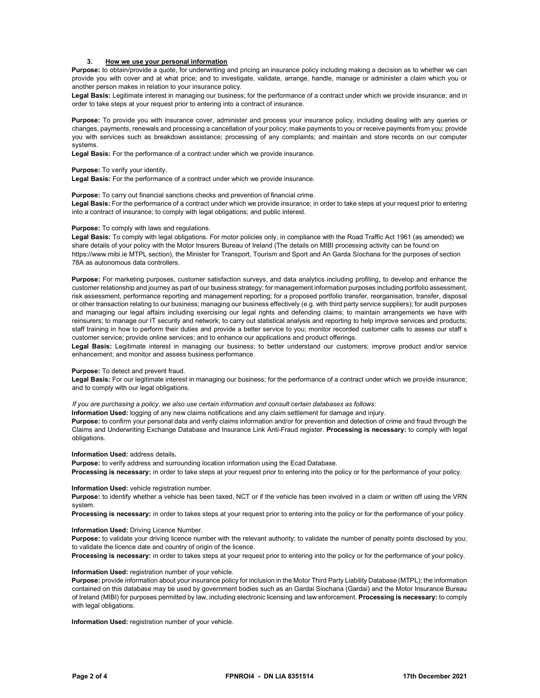### 3. How we use your personal information

Purpose: to obtain/provide a quote, for underwriting and pricing an insurance policy including making a decision as to whether we can provide you with cover and at what price; and to investigate, validate, arrange, handle, manage or administer a claim which you or another person makes in relation to your insurance policy.

Legal Basis: Legitimate interest in managing our business; for the performance of a contract under which we provide insurance; and in order to take steps at your request prior to entering into a contract of insurance.

Purpose: To provide you with insurance cover, administer and process your insurance policy, including dealing with any queries or changes, payments, renewals and processing a cancellation of your policy; make payments to you or receive payments from you; provide you with services such as breakdown assistance; processing of any complaints; and maintain and store records on our computer systems.

Legal Basis: For the performance of a contract under which we provide insurance.

### Purpose: To verify your identity.

Legal Basis: For the performance of a contract under which we provide insurance.

Purpose: To carry out financial sanctions checks and prevention of financial crime. Legal Basis: For the performance of a contract under which we provide insurance; in order to take steps at your request prior to entering into a contract of insurance; to comply with legal obligations; and public interest.

### Purpose: To comply with laws and regulations.

Legal Basis: To comply with legal obligations. For motor policies only, in compliance with the Road Traffic Act 1961 (as amended) we share details of your policy with the Motor Insurers Bureau of Ireland (The details on MIBI processing activity can be found on https://www.mibi.ie MTPL section), the Minister for Transport, Tourism and Sport and An Garda Síochana for the purposes of section 78A as autonomous data controllers.

Purpose: For marketing purposes, customer satisfaction surveys, and data analytics including profiling, to develop and enhance the customer relationship and journey as part of our business strategy; for management information purposes including portfolio assessment, risk assessment, performance reporting and management reporting; for a proposed portfolio transfer, reorganisation, transfer, disposal or other transaction relating to our business; managing our business effectively (e.g. with third party service suppliers); for audit purposes and managing our legal affairs including exercising our legal rights and defending claims; to maintain arrangements we have with reinsurers; to manage our IT security and network; to carry out statistical analysis and reporting to help improve services and products; staff training in how to perform their duties and provide a better service to you; monitor recorded customer calls to assess our staff s customer service; provide online services; and to enhance our applications and product offerings.

Legal Basis: Legitimate interest in managing our business; to better understand our customers; improve product and/or service enhancement; and monitor and assess business performance.

#### Purpose: To detect and prevent fraud.

Legal Basis: For our legitimate interest in managing our business; for the performance of a contract under which we provide insurance; and to comply with our legal obligations.

If you are purchasing a policy, we also use certain information and consult certain databases as follows:

Information Used: logging of any new claims notifications and any claim settlement for damage and injury.

Purpose: to confirm your personal data and verify claims information and/or for prevention and detection of crime and fraud through the Claims and Underwriting Exchange Database and Insurance Link Anti-Fraud register. Processing is necessary: to comply with legal obligations.

### Information Used: address details.

Purpose: to verify address and surrounding location information using the Ecad Database.

Processing is necessary: in order to take steps at your request prior to entering into the policy or for the performance of your policy.

#### Information Used: vehicle registration number.

Purpose: to identify whether a vehicle has been taxed, NCT or if the vehicle has been involved in a claim or written off using the VRN system.

Processing is necessary: in order to takes steps at your request prior to entering into the policy or for the performance of your policy.

### Information Used: Driving Licence Number.

Purpose: to validate your driving licence number with the relevant authority; to validate the number of penalty points disclosed by you; to validate the licence date and country of origin of the licence.

Processing is necessary: in order to takes steps at your request prior to entering into the policy or for the performance of your policy.

### Information Used: registration number of your vehicle.

Purpose: provide information about your insurance policy for inclusion in the Motor Third Party Liability Database (MTPL); the information contained on this database may be used by government bodies such as an Gardai Siochana (Gardai) and the Motor Insurance Bureau of Ireland (MIBI) for purposes permitted by law, including electronic licensing and law enforcement. Processing is necessary: to comply with legal obligations.

Information Used: registration number of your vehicle.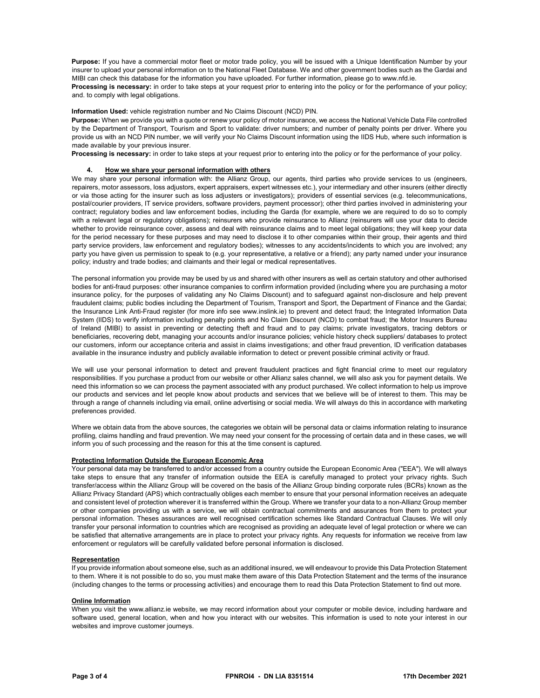Purpose: If you have a commercial motor fleet or motor trade policy, you will be issued with a Unique Identification Number by your insurer to upload your personal information on to the National Fleet Database. We and other government bodies such as the Gardai and MIBI can check this database for the information you have uploaded. For further information, please go to www.nfd.ie.

Processing is necessary: in order to take steps at your request prior to entering into the policy or for the performance of your policy; and. to comply with legal obligations.

Information Used: vehicle registration number and No Claims Discount (NCD) PIN.

Purpose: When we provide you with a quote or renew your policy of motor insurance, we access the National Vehicle Data File controlled by the Department of Transport, Tourism and Sport to validate: driver numbers; and number of penalty points per driver. Where you provide us with an NCD PIN number, we will verify your No Claims Discount information using the IIDS Hub, where such information is made available by your previous insurer.

Processing is necessary: in order to take steps at your request prior to entering into the policy or for the performance of your policy.

### 4. How we share your personal information with others

We may share your personal information with: the Allianz Group, our agents, third parties who provide services to us (engineers, repairers, motor assessors, loss adjustors, expert appraisers, expert witnesses etc.), your intermediary and other insurers (either directly or via those acting for the insurer such as loss adjusters or investigators); providers of essential services (e.g. telecommunications, postal/courier providers, IT service providers, software providers, payment processor); other third parties involved in administering your contract; regulatory bodies and law enforcement bodies, including the Garda (for example, where we are required to do so to comply with a relevant legal or regulatory obligations); reinsurers who provide reinsurance to Allianz (reinsurers will use your data to decide whether to provide reinsurance cover, assess and deal with reinsurance claims and to meet legal obligations; they will keep your data for the period necessary for these purposes and may need to disclose it to other companies within their group, their agents and third party service providers, law enforcement and regulatory bodies); witnesses to any accidents/incidents to which you are involved; any party you have given us permission to speak to (e.g. your representative, a relative or a friend); any party named under your insurance policy; industry and trade bodies; and claimants and their legal or medical representatives.

The personal information you provide may be used by us and shared with other insurers as well as certain statutory and other authorised bodies for anti-fraud purposes: other insurance companies to confirm information provided (including where you are purchasing a motor insurance policy, for the purposes of validating any No Claims Discount) and to safeguard against non-disclosure and help prevent fraudulent claims; public bodies including the Department of Tourism, Transport and Sport, the Department of Finance and the Gardai; the Insurance Link Anti-Fraud register (for more info see www.inslink.ie) to prevent and detect fraud; the Integrated Information Data System (IIDS) to verify information including penalty points and No Claim Discount (NCD) to combat fraud; the Motor Insurers Bureau of Ireland (MIBI) to assist in preventing or detecting theft and fraud and to pay claims; private investigators, tracing debtors or beneficiaries, recovering debt, managing your accounts and/or insurance policies; vehicle history check suppliers/ databases to protect our customers, inform our acceptance criteria and assist in claims investigations; and other fraud prevention, ID verification databases available in the insurance industry and publicly available information to detect or prevent possible criminal activity or fraud.

We will use your personal information to detect and prevent fraudulent practices and fight financial crime to meet our regulatory responsibilities. If you purchase a product from our website or other Allianz sales channel, we will also ask you for payment details. We need this information so we can process the payment associated with any product purchased. We collect information to help us improve our products and services and let people know about products and services that we believe will be of interest to them. This may be through a range of channels including via email, online advertising or social media. We will always do this in accordance with marketing preferences provided.

Where we obtain data from the above sources, the categories we obtain will be personal data or claims information relating to insurance profiling, claims handling and fraud prevention. We may need your consent for the processing of certain data and in these cases, we will inform you of such processing and the reason for this at the time consent is captured.

#### Protecting Information Outside the European Economic Area

Your personal data may be transferred to and/or accessed from a country outside the European Economic Area ("EEA"). We will always take steps to ensure that any transfer of information outside the EEA is carefully managed to protect your privacy rights. Such transfer/access within the Allianz Group will be covered on the basis of the Allianz Group binding corporate rules (BCRs) known as the Allianz Privacy Standard (APS) which contractually obliges each member to ensure that your personal information receives an adequate and consistent level of protection wherever it is transferred within the Group. Where we transfer your data to a non-Allianz Group member or other companies providing us with a service, we will obtain contractual commitments and assurances from them to protect your personal information. Theses assurances are well recognised certification schemes like Standard Contractual Clauses. We will only transfer your personal information to countries which are recognised as providing an adequate level of legal protection or where we can be satisfied that alternative arrangements are in place to protect your privacy rights. Any requests for information we receive from law enforcement or regulators will be carefully validated before personal information is disclosed.

#### **Representation**

If you provide information about someone else, such as an additional insured, we will endeavour to provide this Data Protection Statement to them. Where it is not possible to do so, you must make them aware of this Data Protection Statement and the terms of the insurance (including changes to the terms or processing activities) and encourage them to read this Data Protection Statement to find out more.

#### Online Information

When you visit the www.allianz.ie website, we may record information about your computer or mobile device, including hardware and software used, general location, when and how you interact with our websites. This information is used to note your interest in our websites and improve customer journeys.